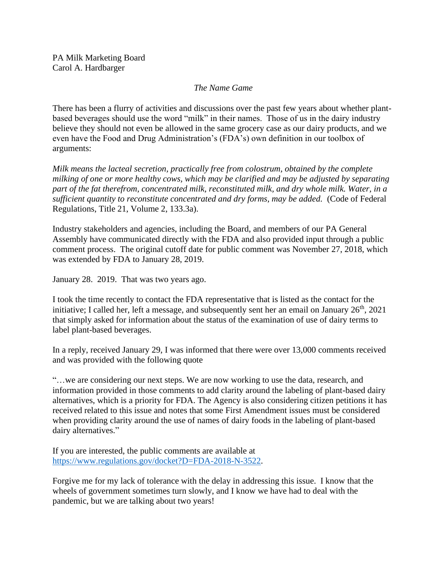## *The Name Game*

There has been a flurry of activities and discussions over the past few years about whether plantbased beverages should use the word "milk" in their names. Those of us in the dairy industry believe they should not even be allowed in the same grocery case as our dairy products, and we even have the Food and Drug Administration's (FDA's) own definition in our toolbox of arguments:

*Milk means the lacteal secretion, practically free from colostrum, obtained by the complete milking of one or more healthy cows, which may be clarified and may be adjusted by separating part of the fat therefrom, concentrated milk, reconstituted milk, and dry whole milk. Water, in a sufficient quantity to reconstitute concentrated and dry forms, may be added.* (Code of Federal Regulations, Title 21, Volume 2, 133.3a).

Industry stakeholders and agencies, including the Board, and members of our PA General Assembly have communicated directly with the FDA and also provided input through a public comment process. The original cutoff date for public comment was November 27, 2018, which was extended by FDA to January 28, 2019.

January 28. 2019. That was two years ago.

I took the time recently to contact the FDA representative that is listed as the contact for the initiative; I called her, left a message, and subsequently sent her an email on January  $26<sup>th</sup>$ , 2021 that simply asked for information about the status of the examination of use of dairy terms to label plant-based beverages.

In a reply, received January 29, I was informed that there were over 13,000 comments received and was provided with the following quote

"…we are considering our next steps. We are now working to use the data, research, and information provided in those comments to add clarity around the labeling of plant-based dairy alternatives, which is a priority for FDA. The Agency is also considering citizen petitions it has received related to this issue and notes that some First Amendment issues must be considered when providing clarity around the use of names of dairy foods in the labeling of plant-based dairy alternatives."

If you are interested, the public comments are available at [https://www.regulations.gov/docket?D=FDA-2018-N-3522.](https://gcc02.safelinks.protection.outlook.com/?url=https%3A%2F%2Fwww.regulations.gov%2Fdocket%3FD%3DFDA-2018-N-3522&data=04%7C01%7Cchardbarge%40pa.gov%7C1806fe295c754211ac0808d8c4802e54%7C418e284101284dd59b6c47fc5a9a1bde%7C0%7C0%7C637475402101575254%7CUnknown%7CTWFpbGZsb3d8eyJWIjoiMC4wLjAwMDAiLCJQIjoiV2luMzIiLCJBTiI6Ik1haWwiLCJXVCI6Mn0%3D%7C1000&sdata=EscGxGwKwV46IoOEqTocNcVD0h49y7PBEiITj%2BiVfyY%3D&reserved=0)

Forgive me for my lack of tolerance with the delay in addressing this issue. I know that the wheels of government sometimes turn slowly, and I know we have had to deal with the pandemic, but we are talking about two years!